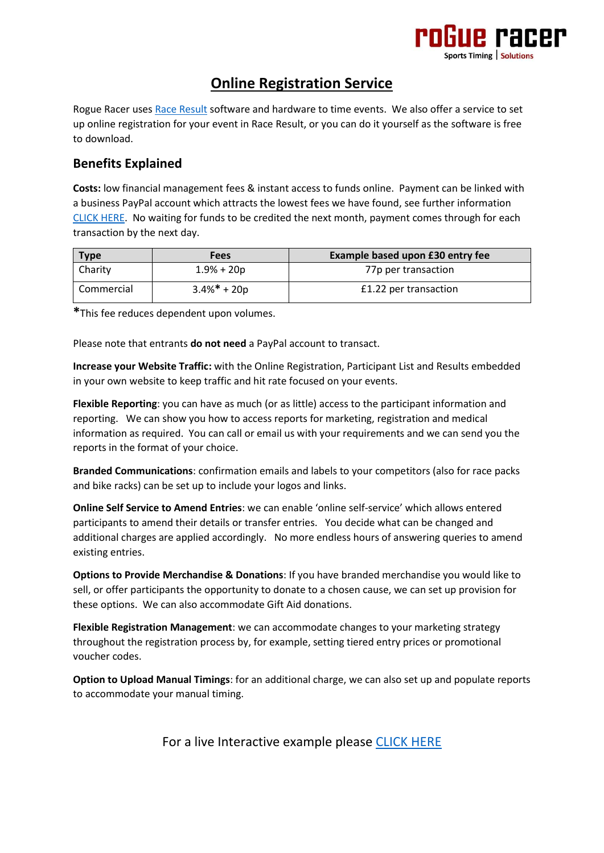

# **Online Registration Service**

Rogue Racer use[s Race Result](http://www.raceresult.co.uk/) software and hardware to time events. We also offer a service to set up online registration for your event in Race Result, or you can do it yourself as the software is free to download.

### **Benefits Explained**

**Costs:** low financial management fees & instant access to funds online. Payment can be linked with a business PayPal account which attracts the lowest fees we have found, see further information [CLICK HERE.](https://www.paypal.com/uk/webapps/mpp/paypal-fees) No waiting for funds to be credited the next month, payment comes through for each transaction by the next day.

| <b>Type</b> | Fees           | Example based upon £30 entry fee |
|-------------|----------------|----------------------------------|
| Charity     | $1.9\% + 20p$  | 77p per transaction              |
| Commercial  | $3.4\%* + 20p$ | £1.22 per transaction            |

**\***This fee reduces dependent upon volumes.

Please note that entrants **do not need** a PayPal account to transact.

**Increase your Website Traffic:** with the Online Registration, Participant List and Results embedded in your own website to keep traffic and hit rate focused on your events.

**Flexible Reporting**: you can have as much (or as little) access to the participant information and reporting. We can show you how to access reports for marketing, registration and medical information as required. You can call or email us with your requirements and we can send you the reports in the format of your choice.

**Branded Communications**: confirmation emails and labels to your competitors (also for race packs and bike racks) can be set up to include your logos and links.

**Online Self Service to Amend Entries**: we can enable 'online self-service' which allows entered participants to amend their details or transfer entries. You decide what can be changed and additional charges are applied accordingly. No more endless hours of answering queries to amend existing entries.

**Options to Provide Merchandise & Donations**: If you have branded merchandise you would like to sell, or offer participants the opportunity to donate to a chosen cause, we can set up provision for these options. We can also accommodate Gift Aid donations.

**Flexible Registration Management**: we can accommodate changes to your marketing strategy throughout the registration process by, for example, setting tiered entry prices or promotional voucher codes.

**Option to Upload Manual Timings**: for an additional charge, we can also set up and populate reports to accommodate your manual timing.

For a live Interactive example please [CLICK HERE](http://my4.raceresult.com/84576/registration?lang=en)